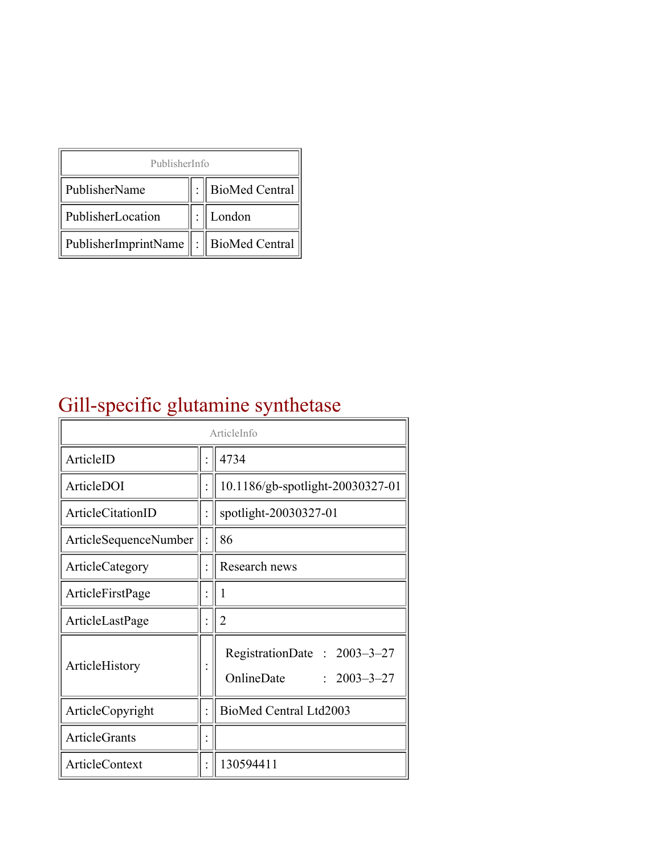| PublisherInfo                                   |  |                    |  |  |
|-------------------------------------------------|--|--------------------|--|--|
| PublisherName                                   |  | :   BioMed Central |  |  |
| PublisherLocation                               |  | London             |  |  |
| PublisherImprintName $\ \cdot\ $ BioMed Central |  |                    |  |  |

## Gill-specific glutamine synthetase

| ArticleInfo           |  |                                                                |
|-----------------------|--|----------------------------------------------------------------|
| ArticleID             |  | 4734                                                           |
| ArticleDOI            |  | 10.1186/gb-spotlight-20030327-01                               |
| ArticleCitationID     |  | spotlight-20030327-01                                          |
| ArticleSequenceNumber |  | 86                                                             |
| ArticleCategory       |  | Research news                                                  |
| ArticleFirstPage      |  |                                                                |
| ArticleLastPage       |  | 2                                                              |
| ArticleHistory        |  | RegistrationDate: 2003-3-27<br>OnlineDate<br>$: 2003 - 3 - 27$ |
| ArticleCopyright      |  | BioMed Central Ltd2003                                         |
| <b>ArticleGrants</b>  |  |                                                                |
| ArticleContext        |  | 130594411                                                      |